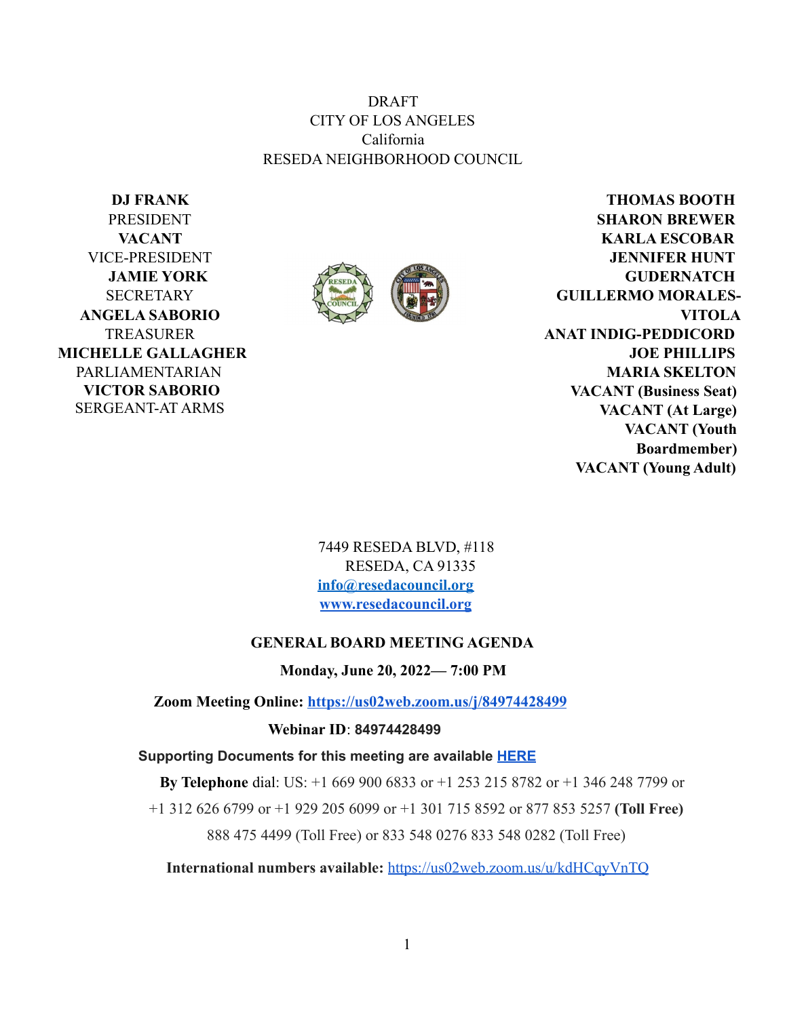DRAFT CITY OF LOS ANGELES California RESEDA NEIGHBORHOOD COUNCIL

**DJ FRANK** PRESIDENT **VACANT** VICE-PRESIDENT **JAMIE YORK** SECRETARY **ANGELA SABORIO** TREASURER **MICHELLE GALLAGHER** PARLIAMENTARIAN **VICTOR SABORIO** SERGEANT-AT ARMS



**THOMAS BOOTH SHARON BREWER KARLA ESCOBAR JENNIFER HUNT GUDERNATCH GUILLERMO MORALES-VITOLA ANAT INDIG-PEDDICORD JOE PHILLIPS MARIA SKELTON VACANT (Business Seat) VACANT (At Large) VACANT (Youth Boardmember) VACANT (Young Adult)**

7449 RESEDA BLVD, #118 RESEDA, CA 91335 **info@resedacouncil.org [www.resedacouncil.org](http://www.resedacouncil.org)**

#### **GENERAL BOARD MEETING AGENDA**

**Monday, June 20, 2022— 7:00 PM**

**Zoom Meeting Online: <https://us02web.zoom.us/j/84974428499>**

**Webinar ID**: **84974428499**

**Supporting Documents for this meeting are available [HERE](https://drive.google.com/drive/u/3/folders/1-fOb-9Tea3PF_GPwiefA_1AZYri-HVVN)**

**By Telephone** dial: US: +1 669 900 6833 or +1 253 215 8782 or +1 346 248 7799 or

+1 312 626 6799 or +1 929 205 6099 or +1 301 715 8592 or 877 853 5257 **(Toll Free)**

888 475 4499 (Toll Free) or 833 548 0276 833 548 0282 (Toll Free)

**International numbers available:** <https://us02web.zoom.us/u/kdHCqyVnTQ>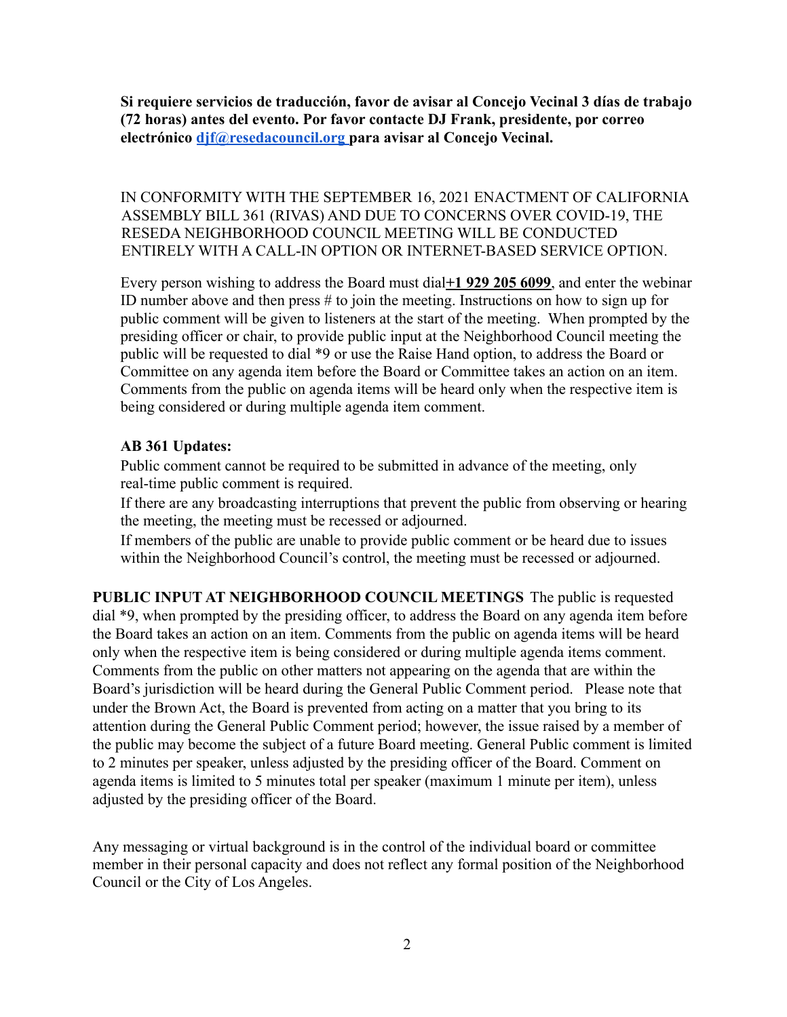**Si requiere servicios de traducción, favor de avisar al Concejo Vecinal 3 días de trabajo (72 horas) antes del evento. Por favor contacte DJ Frank, presidente, por correo electrónico [djf@resedacouncil.org](mailto:djf@resedacouncil.org) para avisar al Concejo Vecinal.**

IN CONFORMITY WITH THE SEPTEMBER 16, 2021 ENACTMENT OF CALIFORNIA ASSEMBLY BILL 361 (RIVAS) AND DUE TO CONCERNS OVER COVID-19, THE RESEDA NEIGHBORHOOD COUNCIL MEETING WILL BE CONDUCTED ENTIRELY WITH A CALL-IN OPTION OR INTERNET-BASED SERVICE OPTION.

Every person wishing to address the Board must dial**+1 929 205 6099**, and enter the webinar ID number above and then press  $#$  to join the meeting. Instructions on how to sign up for public comment will be given to listeners at the start of the meeting. When prompted by the presiding officer or chair, to provide public input at the Neighborhood Council meeting the public will be requested to dial \*9 or use the Raise Hand option, to address the Board or Committee on any agenda item before the Board or Committee takes an action on an item. Comments from the public on agenda items will be heard only when the respective item is being considered or during multiple agenda item comment.

#### **AB 361 Updates:**

Public comment cannot be required to be submitted in advance of the meeting, only real-time public comment is required.

If there are any broadcasting interruptions that prevent the public from observing or hearing the meeting, the meeting must be recessed or adjourned.

If members of the public are unable to provide public comment or be heard due to issues within the Neighborhood Council's control, the meeting must be recessed or adjourned.

**PUBLIC INPUT AT NEIGHBORHOOD COUNCIL MEETINGS** The public is requested dial \*9, when prompted by the presiding officer, to address the Board on any agenda item before the Board takes an action on an item. Comments from the public on agenda items will be heard only when the respective item is being considered or during multiple agenda items comment. Comments from the public on other matters not appearing on the agenda that are within the Board's jurisdiction will be heard during the General Public Comment period. Please note that under the Brown Act, the Board is prevented from acting on a matter that you bring to its attention during the General Public Comment period; however, the issue raised by a member of the public may become the subject of a future Board meeting. General Public comment is limited to 2 minutes per speaker, unless adjusted by the presiding officer of the Board. Comment on agenda items is limited to 5 minutes total per speaker (maximum 1 minute per item), unless adjusted by the presiding officer of the Board.

Any messaging or virtual background is in the control of the individual board or committee member in their personal capacity and does not reflect any formal position of the Neighborhood Council or the City of Los Angeles.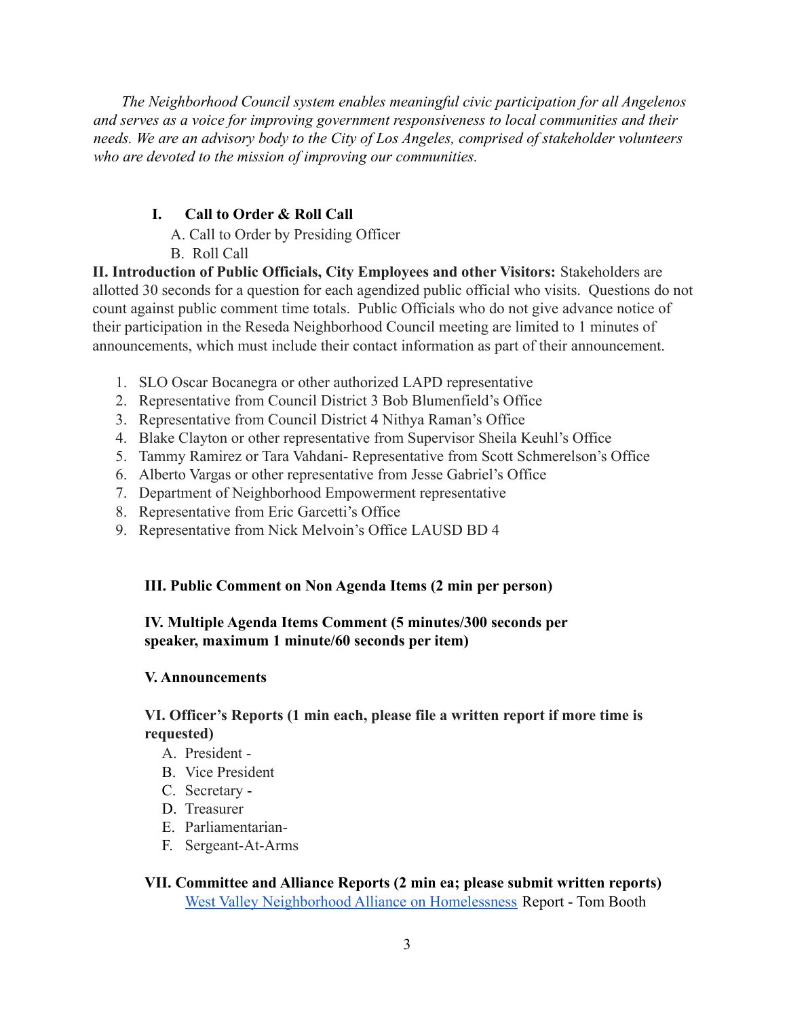*The Neighborhood Council system enables meaningful civic participation for all Angelenos and serves as a voice for improving government responsiveness to local communities and their needs. We are an advisory body to the City of Los Angeles, comprised of stakeholder volunteers who are devoted to the mission of improving our communities.*

# **I. Call to Order & Roll Call**

- A. Call to Order by Presiding Officer
- B. Roll Call

**II. Introduction of Public Officials, City Employees and other Visitors:** Stakeholders are allotted 30 seconds for a question for each agendized public official who visits. Questions do not count against public comment time totals. Public Officials who do not give advance notice of their participation in the Reseda Neighborhood Council meeting are limited to 1 minutes of announcements, which must include their contact information as part of their announcement.

- 1. SLO Oscar Bocanegra or other authorized LAPD representative
- 2. Representative from Council District 3 Bob Blumenfield's Office
- 3. Representative from Council District 4 Nithya Raman's Office
- 4. Blake Clayton or other representative from Supervisor Sheila Keuhl's Office
- 5. Tammy Ramirez or Tara Vahdani- Representative from Scott Schmerelson's Office
- 6. Alberto Vargas or other representative from Jesse Gabriel's Office
- 7. Department of Neighborhood Empowerment representative
- 8. Representative from Eric Garcetti's Office
- 9. Representative from Nick Melvoin's Office LAUSD BD 4

# **III. Public Comment on Non Agenda Items (2 min per person)**

### **IV. Multiple Agenda Items Comment (5 minutes/300 seconds per speaker, maximum 1 minute/60 seconds per item)**

## **V. Announcements**

## **VI. Officer's Reports (1 min each, please file a written report if more time is requested)**

- A. President -
- B. Vice President
- C. Secretary -
- D. Treasurer
- E. Parliamentarian-
- F. Sergeant-At-Arms

# **VII. Committee and Alliance Reports (2 min ea; please submit written reports)** [West Valley Neighborhood Alliance on Homelessness](https://wvnah.org/) Report - Tom Booth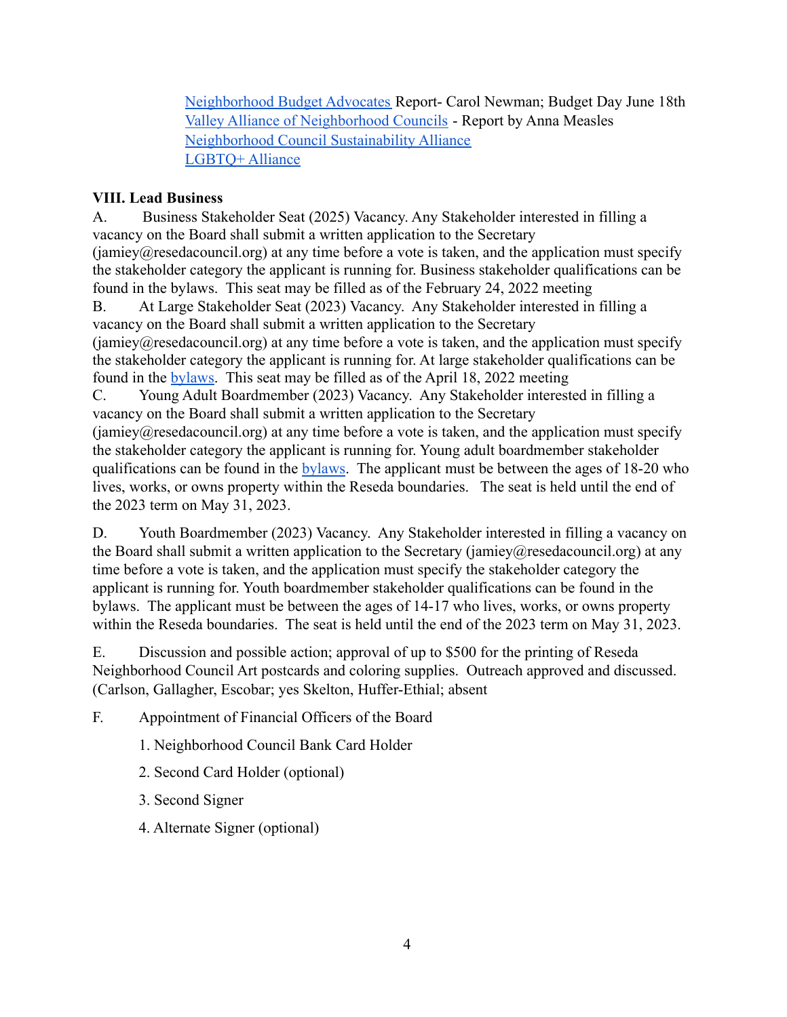[Neighborhood Budget Advocates](https://www.budgetadvocates.com/) Report- Carol Newman; Budget Day June 18th [Valley Alliance of Neighborhood Councils](http://www.lancc.org/nc-alliances.php) - Report by Anna Measles [Neighborhood Council Sustainability Alliance](https://www.ncsa.la/) [LGBTQ+ Alliance](https://www.lalgbtqalliance.org/)

## **VIII. Lead Business**

A. Business Stakeholder Seat (2025) Vacancy. Any Stakeholder interested in filling a vacancy on the Board shall submit a written application to the Secretary  $(iamiev@rasedacountil.org)$  at any time before a vote is taken, and the application must specify the stakeholder category the applicant is running for. Business stakeholder qualifications can be found in the bylaws. This seat may be filled as of the February 24, 2022 meeting

B. At Large Stakeholder Seat (2023) Vacancy. Any Stakeholder interested in filling a vacancy on the Board shall submit a written application to the Secretary  $(iamiev@rasedacountil.org)$  at any time before a vote is taken, and the application must specify the stakeholder category the applicant is running for. At large stakeholder qualifications can be found in the [bylaws.](https://resedacouncil.org/web1/wp-content/uploads/2021/01/RNC-Bylaws-Approved-11232020-1.pdf?x48066) This seat may be filled as of the April 18, 2022 meeting

C. Young Adult Boardmember (2023) Vacancy. Any Stakeholder interested in filling a vacancy on the Board shall submit a written application to the Secretary

 $(iamiev@rasedacountil.org)$  at any time before a vote is taken, and the application must specify the stakeholder category the applicant is running for. Young adult boardmember stakeholder qualifications can be found in the [bylaws.](https://resedacouncil.org/web1/wp-content/uploads/2021/01/RNC-Bylaws-Approved-11232020-1.pdf?x48066) The applicant must be between the ages of 18-20 who lives, works, or owns property within the Reseda boundaries. The seat is held until the end of the 2023 term on May 31, 2023.

D. Youth Boardmember (2023) Vacancy. Any Stakeholder interested in filling a vacancy on the Board shall submit a written application to the Secretary (jamiey@resedacouncil.org) at any time before a vote is taken, and the application must specify the stakeholder category the applicant is running for. Youth boardmember stakeholder qualifications can be found in the bylaws. The applicant must be between the ages of 14-17 who lives, works, or owns property within the Reseda boundaries. The seat is held until the end of the 2023 term on May 31, 2023.

E. Discussion and possible action; approval of up to \$500 for the printing of Reseda Neighborhood Council Art postcards and coloring supplies. Outreach approved and discussed. (Carlson, Gallagher, Escobar; yes Skelton, Huffer-Ethial; absent

F. Appointment of Financial Officers of the Board

1. Neighborhood Council Bank Card Holder

2. Second Card Holder (optional)

3. Second Signer

4. Alternate Signer (optional)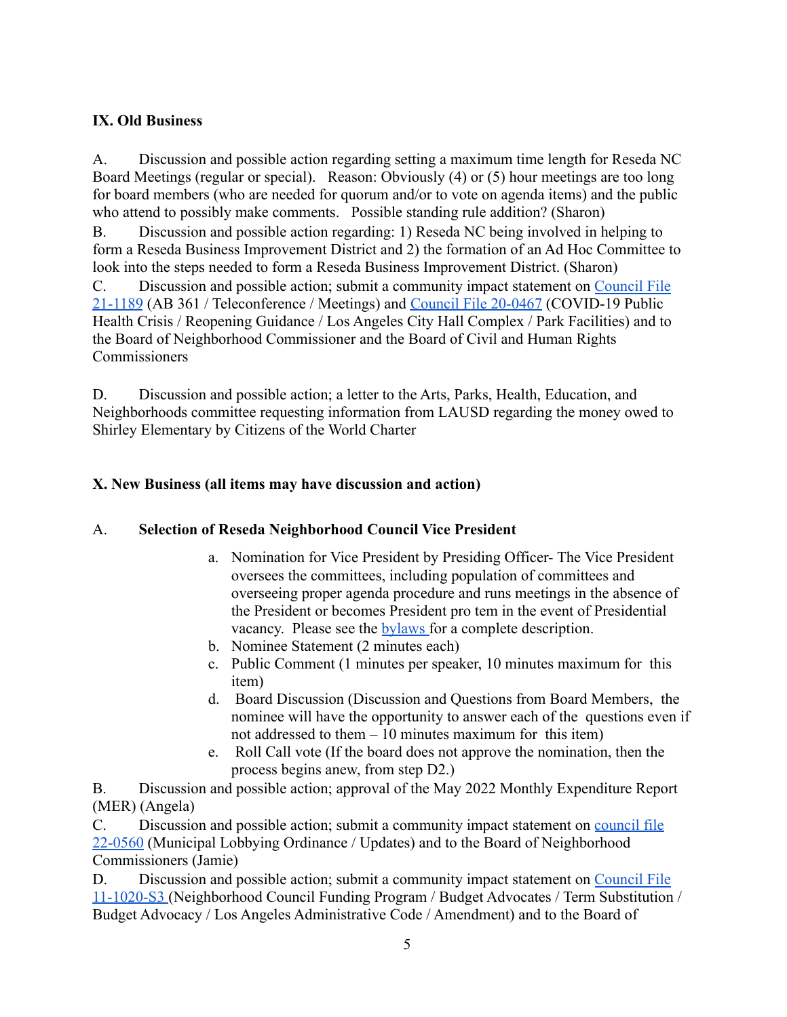## **IX. Old Business**

A. Discussion and possible action regarding setting a maximum time length for Reseda NC Board Meetings (regular or special). Reason: Obviously (4) or (5) hour meetings are too long for board members (who are needed for quorum and/or to vote on agenda items) and the public who attend to possibly make comments. Possible standing rule addition? (Sharon) B. Discussion and possible action regarding: 1) Reseda NC being involved in helping to form a Reseda Business Improvement District and 2) the formation of an Ad Hoc Committee to look into the steps needed to form a Reseda Business Improvement District. (Sharon) C. Discussion and possible action; submit a community impact statement on [Council](https://cityclerk.lacity.org/lacityclerkconnect/index.cfm?fa=ccfi.viewrecord&cfnumber=21-1189) File [21-1189](https://cityclerk.lacity.org/lacityclerkconnect/index.cfm?fa=ccfi.viewrecord&cfnumber=21-1189) (AB 361 / Teleconference / Meetings) and Council File [20-0467](https://cityclerk.lacity.org/lacityclerkconnect/index.cfm?fa=ccfi.viewrecord&cfnumber=20-0467) (COVID-19 Public Health Crisis / Reopening Guidance / Los Angeles City Hall Complex / Park Facilities) and to the Board of Neighborhood Commissioner and the Board of Civil and Human Rights Commissioners

D. Discussion and possible action; a letter to the Arts, Parks, Health, Education, and Neighborhoods committee requesting information from LAUSD regarding the money owed to Shirley Elementary by Citizens of the World Charter

## **X. New Business (all items may have discussion and action)**

#### A. **Selection of Reseda Neighborhood Council Vice President**

- a. Nomination for Vice President by Presiding Officer- The Vice President oversees the committees, including population of committees and overseeing proper agenda procedure and runs meetings in the absence of the President or becomes President pro tem in the event of Presidential vacancy. Please see the **[bylaws](https://resedacouncil.org/web1/wp-content/uploads/2021/01/RNC-Bylaws-Approved-11232020-1.pdf?x48066)** for a complete description.
- b. Nominee Statement (2 minutes each)
- c. Public Comment (1 minutes per speaker, 10 minutes maximum for this item)
- d. Board Discussion (Discussion and Questions from Board Members, the nominee will have the opportunity to answer each of the questions even if not addressed to them  $-10$  minutes maximum for this item)
- e. Roll Call vote (If the board does not approve the nomination, then the process begins anew, from step D2.)

B. Discussion and possible action; approval of the May 2022 Monthly Expenditure Report (MER) (Angela)

C. Discussion and possible action; submit a community impact statement on [council](https://cityclerk.lacity.org/lacityclerkconnect/index.cfm?fa=ccfi.viewrecord&cfnumber=22-0560) file [22-0560](https://cityclerk.lacity.org/lacityclerkconnect/index.cfm?fa=ccfi.viewrecord&cfnumber=22-0560) (Municipal Lobbying Ordinance / Updates) and to the Board of Neighborhood Commissioners (Jamie)

D. Discussion and possible action; submit a community impact statement on [Council](https://cityclerk.lacity.org/lacityclerkconnect/index.cfm?fa=ccfi.viewrecord&cfnumber=11-1020-S3) File [11-1020-S3](https://cityclerk.lacity.org/lacityclerkconnect/index.cfm?fa=ccfi.viewrecord&cfnumber=11-1020-S3) (Neighborhood Council Funding Program / Budget Advocates / Term Substitution / Budget Advocacy / Los Angeles Administrative Code / Amendment) and to the Board of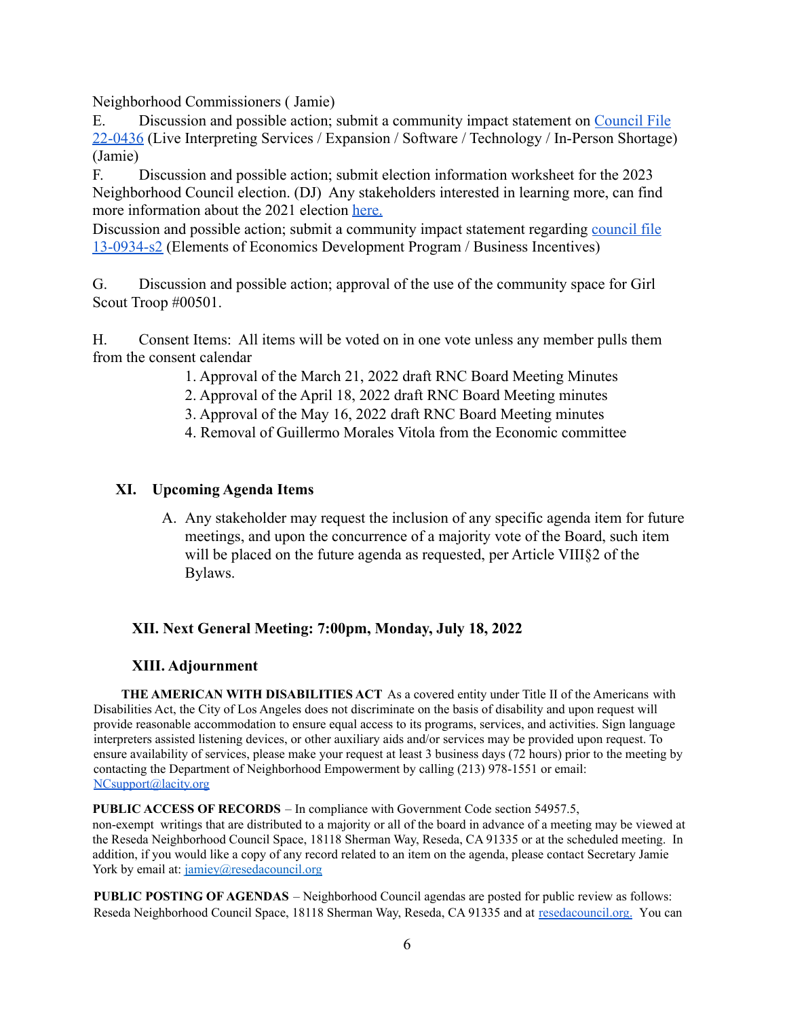Neighborhood Commissioners ( Jamie)

E. Discussion and possible action; submit a community impact statement on [Council](https://cityclerk.lacity.org/lacityclerkconnect/index.cfm?fa=ccfi.viewrecord&cfnumber=22-0436) File [22-0436](https://cityclerk.lacity.org/lacityclerkconnect/index.cfm?fa=ccfi.viewrecord&cfnumber=22-0436) (Live Interpreting Services / Expansion / Software / Technology / In-Person Shortage) (Jamie)

F. Discussion and possible action; submit election information worksheet for the 2023 Neighborhood Council election. (DJ) Any stakeholders interested in learning more, can find more information about the 2021 election [here.](https://clerk.lacity.org/clerk-services/elections/nc-elections)

Discussion and possible action; submit a community impact statement regarding [council](https://cityclerk.lacity.org/lacityclerkconnect/index.cfm?fa=ccfi.viewrecord&cfnumber=13-0934-S2) file [13-0934-s2](https://cityclerk.lacity.org/lacityclerkconnect/index.cfm?fa=ccfi.viewrecord&cfnumber=13-0934-S2) (Elements of Economics Development Program / Business Incentives)

G. Discussion and possible action; approval of the use of the community space for Girl Scout Troop #00501.

H. Consent Items: All items will be voted on in one vote unless any member pulls them from the consent calendar

- 1. Approval of the March 21, 2022 draft RNC Board Meeting Minutes
- 2. Approval of the April 18, 2022 draft RNC Board Meeting minutes
- 3. Approval of the May 16, 2022 draft RNC Board Meeting minutes
- 4. Removal of Guillermo Morales Vitola from the Economic committee

#### **XI. Upcoming Agenda Items**

A. Any stakeholder may request the inclusion of any specific agenda item for future meetings, and upon the concurrence of a majority vote of the Board, such item will be placed on the future agenda as requested, per Article VIII§2 of the Bylaws.

#### **XII. Next General Meeting: 7:00pm, Monday, July 18, 2022**

#### **XIII. Adjournment**

**THE AMERICAN WITH DISABILITIES ACT** As a covered entity under Title II of the Americans with Disabilities Act, the City of Los Angeles does not discriminate on the basis of disability and upon request will provide reasonable accommodation to ensure equal access to its programs, services, and activities. Sign language interpreters assisted listening devices, or other auxiliary aids and/or services may be provided upon request. To ensure availability of services, please make your request at least 3 business days (72 hours) prior to the meeting by contacting the Department of Neighborhood Empowerment by calling (213) 978-1551 or email: NCsupport@lacity.org

**PUBLIC ACCESS OF RECORDS** – In compliance with Government Code section 54957.5,

non-exempt writings that are distributed to a majority or all of the board in advance of a meeting may be viewed at the Reseda Neighborhood Council Space, 18118 Sherman Way, Reseda, CA 91335 or at the scheduled meeting. In addition, if you would like a copy of any record related to an item on the agenda, please contact Secretary Jamie York by email at: jamiey@resedacouncil.org

**PUBLIC POSTING OF AGENDAS** – Neighborhood Council agendas are posted for public review as follows: Reseda Neighborhood Council Space, 18118 Sherman Way, Reseda, CA 91335 and at [resedacouncil.org.](https://resedacouncil.org/) [You](https://empowerla.org/RNC/You) can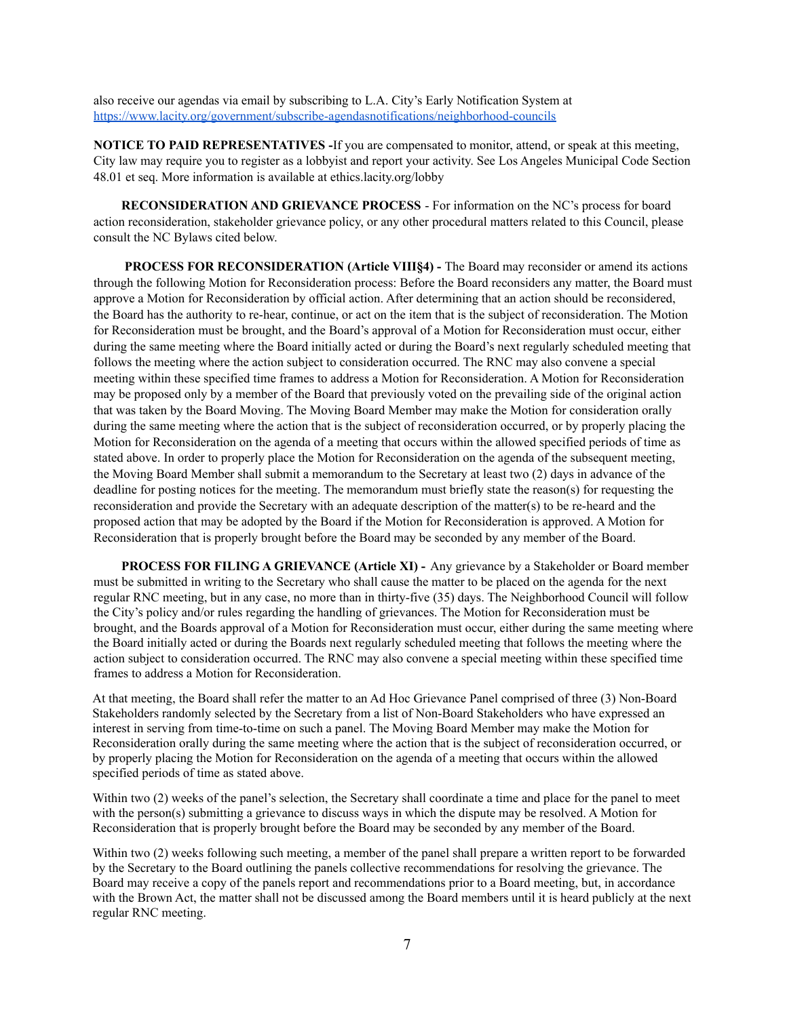also receive our agendas via email by subscribing to L.A. City's Early Notification System at <https://www.lacity.org/government/subscribe-agendasnotifications/neighborhood-councils>

**NOTICE TO PAID REPRESENTATIVES -**If you are compensated to monitor, attend, or speak at this meeting, City law may require you to register as a lobbyist and report your activity. See Los Angeles Municipal Code Section 48.01 et seq. More information is available at ethics.lacity.org/lobby

**RECONSIDERATION AND GRIEVANCE PROCESS** - For information on the NC's process for board action reconsideration, stakeholder grievance policy, or any other procedural matters related to this Council, please consult the NC Bylaws cited below.

**PROCESS FOR RECONSIDERATION (Article VIII§4) -** The Board may reconsider or amend its actions through the following Motion for Reconsideration process: Before the Board reconsiders any matter, the Board must approve a Motion for Reconsideration by official action. After determining that an action should be reconsidered, the Board has the authority to re-hear, continue, or act on the item that is the subject of reconsideration. The Motion for Reconsideration must be brought, and the Board's approval of a Motion for Reconsideration must occur, either during the same meeting where the Board initially acted or during the Board's next regularly scheduled meeting that follows the meeting where the action subject to consideration occurred. The RNC may also convene a special meeting within these specified time frames to address a Motion for Reconsideration. A Motion for Reconsideration may be proposed only by a member of the Board that previously voted on the prevailing side of the original action that was taken by the Board Moving. The Moving Board Member may make the Motion for consideration orally during the same meeting where the action that is the subject of reconsideration occurred, or by properly placing the Motion for Reconsideration on the agenda of a meeting that occurs within the allowed specified periods of time as stated above. In order to properly place the Motion for Reconsideration on the agenda of the subsequent meeting, the Moving Board Member shall submit a memorandum to the Secretary at least two (2) days in advance of the deadline for posting notices for the meeting. The memorandum must briefly state the reason(s) for requesting the reconsideration and provide the Secretary with an adequate description of the matter(s) to be re-heard and the proposed action that may be adopted by the Board if the Motion for Reconsideration is approved. A Motion for Reconsideration that is properly brought before the Board may be seconded by any member of the Board.

**PROCESS FOR FILING A GRIEVANCE (Article XI) -** Any grievance by a Stakeholder or Board member must be submitted in writing to the Secretary who shall cause the matter to be placed on the agenda for the next regular RNC meeting, but in any case, no more than in thirty-five (35) days. The Neighborhood Council will follow the City's policy and/or rules regarding the handling of grievances. The Motion for Reconsideration must be brought, and the Boards approval of a Motion for Reconsideration must occur, either during the same meeting where the Board initially acted or during the Boards next regularly scheduled meeting that follows the meeting where the action subject to consideration occurred. The RNC may also convene a special meeting within these specified time frames to address a Motion for Reconsideration.

At that meeting, the Board shall refer the matter to an Ad Hoc Grievance Panel comprised of three (3) Non-Board Stakeholders randomly selected by the Secretary from a list of Non-Board Stakeholders who have expressed an interest in serving from time-to-time on such a panel. The Moving Board Member may make the Motion for Reconsideration orally during the same meeting where the action that is the subject of reconsideration occurred, or by properly placing the Motion for Reconsideration on the agenda of a meeting that occurs within the allowed specified periods of time as stated above.

Within two (2) weeks of the panel's selection, the Secretary shall coordinate a time and place for the panel to meet with the person(s) submitting a grievance to discuss ways in which the dispute may be resolved. A Motion for Reconsideration that is properly brought before the Board may be seconded by any member of the Board.

Within two (2) weeks following such meeting, a member of the panel shall prepare a written report to be forwarded by the Secretary to the Board outlining the panels collective recommendations for resolving the grievance. The Board may receive a copy of the panels report and recommendations prior to a Board meeting, but, in accordance with the Brown Act, the matter shall not be discussed among the Board members until it is heard publicly at the next regular RNC meeting.